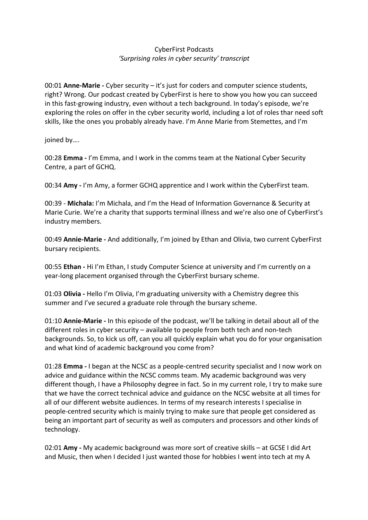## CyberFirst Podcasts *'Surprising roles in cyber security' transcript*

00:01 **Anne-Marie -** Cyber security – it's just for coders and computer science students, right? Wrong. Our podcast created by CyberFirst is here to show you how you can succeed in this fast-growing industry, even without a tech background. In today's episode, we're exploring the roles on offer in the cyber security world, including a lot of roles thar need soft skills, like the ones you probably already have. I'm Anne Marie from Stemettes, and I'm

joined by….

00:28 **Emma -** I'm Emma, and I work in the comms team at the National Cyber Security Centre, a part of GCHQ.

00:34 **Amy -** I'm Amy, a former GCHQ apprentice and I work within the CyberFirst team.

00:39 - **Michala:** I'm Michala, and I'm the Head of Information Governance & Security at Marie Curie. We're a charity that supports terminal illness and we're also one of CyberFirst's industry members.

00:49 **Annie-Marie -** And additionally, I'm joined by Ethan and Olivia, two current CyberFirst bursary recipients.

00:55 **Ethan -** Hi I'm Ethan, I study Computer Science at university and I'm currently on a year-long placement organised through the CyberFirst bursary scheme.

01:03 **Olivia -** Hello I'm Olivia, I'm graduating university with a Chemistry degree this summer and I've secured a graduate role through the bursary scheme.

01:10 **Annie-Marie -** In this episode of the podcast, we'll be talking in detail about all of the different roles in cyber security – available to people from both tech and non-tech backgrounds. So, to kick us off, can you all quickly explain what you do for your organisation and what kind of academic background you come from?

01:28 **Emma -** I began at the NCSC as a people-centred security specialist and I now work on advice and guidance within the NCSC comms team. My academic background was very different though, I have a Philosophy degree in fact. So in my current role, I try to make sure that we have the correct technical advice and guidance on the NCSC website at all times for all of our different website audiences. In terms of my research interests I specialise in people-centred security which is mainly trying to make sure that people get considered as being an important part of security as well as computers and processors and other kinds of technology.

02:01 **Amy -** My academic background was more sort of creative skills – at GCSE I did Art and Music, then when I decided I just wanted those for hobbies I went into tech at my A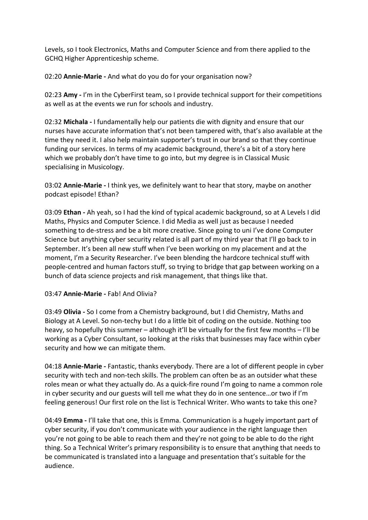Levels, so I took Electronics, Maths and Computer Science and from there applied to the GCHQ Higher Apprenticeship scheme.

02:20 **Annie-Marie -** And what do you do for your organisation now?

02:23 **Amy -** I'm in the CyberFirst team, so I provide technical support for their competitions as well as at the events we run for schools and industry.

02:32 **Michala -** I fundamentally help our patients die with dignity and ensure that our nurses have accurate information that's not been tampered with, that's also available at the time they need it. I also help maintain supporter's trust in our brand so that they continue funding our services. In terms of my academic background, there's a bit of a story here which we probably don't have time to go into, but my degree is in Classical Music specialising in Musicology.

03:02 **Annie-Marie -** I think yes, we definitely want to hear that story, maybe on another podcast episode! Ethan?

03:09 **Ethan -** Ah yeah, so I had the kind of typical academic background, so at A Levels I did Maths, Physics and Computer Science. I did Media as well just as because I needed something to de-stress and be a bit more creative. Since going to uni I've done Computer Science but anything cyber security related is all part of my third year that I'll go back to in September. It's been all new stuff when I've been working on my placement and at the moment, I'm a Security Researcher. I've been blending the hardcore technical stuff with people-centred and human factors stuff, so trying to bridge that gap between working on a bunch of data science projects and risk management, that things like that.

## 03:47 **Annie-Marie -** Fab! And Olivia?

03:49 **Olivia -** So I come from a Chemistry background, but I did Chemistry, Maths and Biology at A Level. So non-techy but I do a little bit of coding on the outside. Nothing too heavy, so hopefully this summer – although it'll be virtually for the first few months – I'll be working as a Cyber Consultant, so looking at the risks that businesses may face within cyber security and how we can mitigate them.

04:18 **Annie-Marie -** Fantastic, thanks everybody. There are a lot of different people in cyber security with tech and non-tech skills. The problem can often be as an outsider what these roles mean or what they actually do. As a quick-fire round I'm going to name a common role in cyber security and our guests will tell me what they do in one sentence…or two if I'm feeling generous! Our first role on the list is Technical Writer. Who wants to take this one?

04:49 **Emma -** I'll take that one, this is Emma. Communication is a hugely important part of cyber security, if you don't communicate with your audience in the right language then you're not going to be able to reach them and they're not going to be able to do the right thing. So a Technical Writer's primary responsibility is to ensure that anything that needs to be communicated is translated into a language and presentation that's suitable for the audience.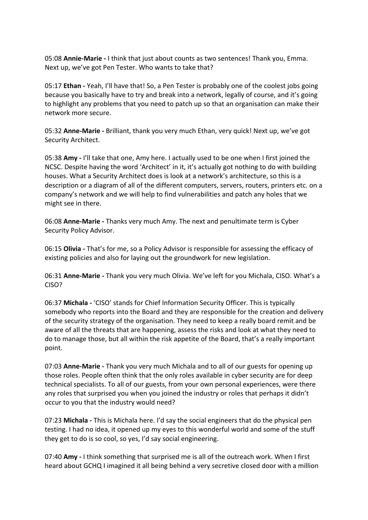05:08 **Annie-Marie -** I think that just about counts as two sentences! Thank you, Emma. Next up, we've got Pen Tester. Who wants to take that?

05:17 **Ethan -** Yeah, I'll have that! So, a Pen Tester is probably one of the coolest jobs going because you basically have to try and break into a network, legally of course, and it's going to highlight any problems that you need to patch up so that an organisation can make their network more secure.

05:32 **Anne-Marie -** Brilliant, thank you very much Ethan, very quick! Next up, we've got Security Architect.

05:38 **Amy -** I'll take that one, Amy here. I actually used to be one when I first joined the NCSC. Despite having the word 'Architect' in it, it's actually got nothing to do with building houses. What a Security Architect does is look at a network's architecture, so this is a description or a diagram of all of the different computers, servers, routers, printers etc. on a company's network and we will help to find vulnerabilities and patch any holes that we might see in there.

06:08 **Anne-Marie -** Thanks very much Amy. The next and penultimate term is Cyber Security Policy Advisor.

06:15 **Olivia -** That's for me, so a Policy Advisor is responsible for assessing the efficacy of existing policies and also for laying out the groundwork for new legislation.

06:31 **Anne-Marie -** Thank you very much Olivia. We've left for you Michala, CISO. What's a CISO?

06:37 **Michala -** 'CISO' stands for Chief Information Security Officer. This is typically somebody who reports into the Board and they are responsible for the creation and delivery of the security strategy of the organisation. They need to keep a really board remit and be aware of all the threats that are happening, assess the risks and look at what they need to do to manage those, but all within the risk appetite of the Board, that's a really important point.

07:03 **Anne-Marie -** Thank you very much Michala and to all of our guests for opening up those roles. People often think that the only roles available in cyber security are for deep technical specialists. To all of our guests, from your own personal experiences, were there any roles that surprised you when you joined the industry or roles that perhaps it didn't occur to you that the industry would need?

07:23 **Michala -** This is Michala here. I'd say the social engineers that do the physical pen testing. I had no idea, it opened up my eyes to this wonderful world and some of the stuff they get to do is so cool, so yes, I'd say social engineering.

07:40 **Amy -** I think something that surprised me is all of the outreach work. When I first heard about GCHQ I imagined it all being behind a very secretive closed door with a million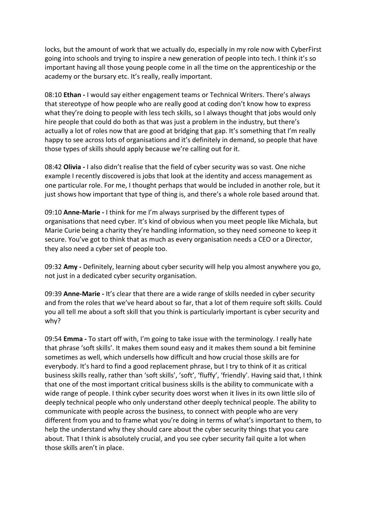locks, but the amount of work that we actually do, especially in my role now with CyberFirst going into schools and trying to inspire a new generation of people into tech. I think it's so important having all those young people come in all the time on the apprenticeship or the academy or the bursary etc. It's really, really important.

08:10 **Ethan -** I would say either engagement teams or Technical Writers. There's always that stereotype of how people who are really good at coding don't know how to express what they're doing to people with less tech skills, so I always thought that jobs would only hire people that could do both as that was just a problem in the industry, but there's actually a lot of roles now that are good at bridging that gap. It's something that I'm really happy to see across lots of organisations and it's definitely in demand, so people that have those types of skills should apply because we're calling out for it.

08:42 **Olivia -** I also didn't realise that the field of cyber security was so vast. One niche example I recently discovered is jobs that look at the identity and access management as one particular role. For me, I thought perhaps that would be included in another role, but it just shows how important that type of thing is, and there's a whole role based around that.

09:10 **Anne-Marie -** I think for me I'm always surprised by the different types of organisations that need cyber. It's kind of obvious when you meet people like Michala, but Marie Curie being a charity they're handling information, so they need someone to keep it secure. You've got to think that as much as every organisation needs a CEO or a Director, they also need a cyber set of people too.

09:32 **Amy -** Definitely, learning about cyber security will help you almost anywhere you go, not just in a dedicated cyber security organisation.

09:39 **Anne-Marie -** It's clear that there are a wide range of skills needed in cyber security and from the roles that we've heard about so far, that a lot of them require soft skills. Could you all tell me about a soft skill that you think is particularly important is cyber security and why?

09:54 **Emma -** To start off with, I'm going to take issue with the terminology. I really hate that phrase 'soft skills'. It makes them sound easy and it makes them sound a bit feminine sometimes as well, which undersells how difficult and how crucial those skills are for everybody. It's hard to find a good replacement phrase, but I try to think of it as critical business skills really, rather than 'soft skills', 'soft', 'fluffy', 'friendly'. Having said that, I think that one of the most important critical business skills is the ability to communicate with a wide range of people. I think cyber security does worst when it lives in its own little silo of deeply technical people who only understand other deeply technical people. The ability to communicate with people across the business, to connect with people who are very different from you and to frame what you're doing in terms of what's important to them, to help the understand why they should care about the cyber security things that you care about. That I think is absolutely crucial, and you see cyber security fail quite a lot when those skills aren't in place.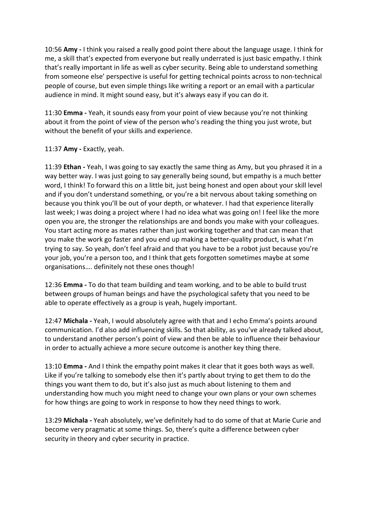10:56 **Amy -** I think you raised a really good point there about the language usage. I think for me, a skill that's expected from everyone but really underrated is just basic empathy. I think that's really important in life as well as cyber security. Being able to understand something from someone else' perspective is useful for getting technical points across to non-technical people of course, but even simple things like writing a report or an email with a particular audience in mind. It might sound easy, but it's always easy if you can do it.

11:30 **Emma -** Yeah, it sounds easy from your point of view because you're not thinking about it from the point of view of the person who's reading the thing you just wrote, but without the benefit of your skills and experience.

## 11:37 **Amy -** Exactly, yeah.

11:39 **Ethan -** Yeah, I was going to say exactly the same thing as Amy, but you phrased it in a way better way. I was just going to say generally being sound, but empathy is a much better word, I think! To forward this on a little bit, just being honest and open about your skill level and if you don't understand something, or you're a bit nervous about taking something on because you think you'll be out of your depth, or whatever. I had that experience literally last week; I was doing a project where I had no idea what was going on! I feel like the more open you are, the stronger the relationships are and bonds you make with your colleagues. You start acting more as mates rather than just working together and that can mean that you make the work go faster and you end up making a better-quality product, is what I'm trying to say. So yeah, don't feel afraid and that you have to be a robot just because you're your job, you're a person too, and I think that gets forgotten sometimes maybe at some organisations…. definitely not these ones though!

12:36 **Emma -** To do that team building and team working, and to be able to build trust between groups of human beings and have the psychological safety that you need to be able to operate effectively as a group is yeah, hugely important.

12:47 **Michala -** Yeah, I would absolutely agree with that and I echo Emma's points around communication. I'd also add influencing skills. So that ability, as you've already talked about, to understand another person's point of view and then be able to influence their behaviour in order to actually achieve a more secure outcome is another key thing there.

13:10 **Emma -** And I think the empathy point makes it clear that it goes both ways as well. Like if you're talking to somebody else then it's partly about trying to get them to do the things you want them to do, but it's also just as much about listening to them and understanding how much you might need to change your own plans or your own schemes for how things are going to work in response to how they need things to work.

13:29 **Michala -** Yeah absolutely, we've definitely had to do some of that at Marie Curie and become very pragmatic at some things. So, there's quite a difference between cyber security in theory and cyber security in practice.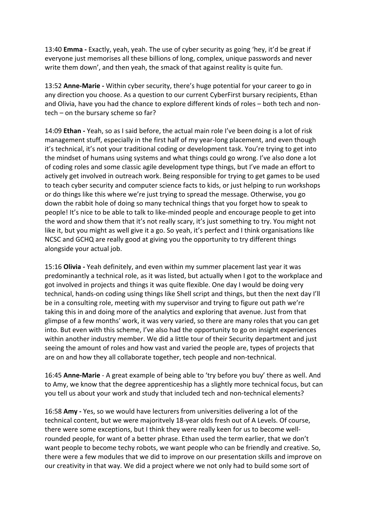13:40 **Emma -** Exactly, yeah, yeah. The use of cyber security as going 'hey, it'd be great if everyone just memorises all these billions of long, complex, unique passwords and never write them down', and then yeah, the smack of that against reality is quite fun.

13:52 **Anne-Marie -** Within cyber security, there's huge potential for your career to go in any direction you choose. As a question to our current CyberFirst bursary recipients, Ethan and Olivia, have you had the chance to explore different kinds of roles – both tech and nontech – on the bursary scheme so far?

14:09 **Ethan -** Yeah, so as I said before, the actual main role I've been doing is a lot of risk management stuff, especially in the first half of my year-long placement, and even though it's technical, it's not your traditional coding or development task. You're trying to get into the mindset of humans using systems and what things could go wrong. I've also done a lot of coding roles and some classic agile development type things, but I've made an effort to actively get involved in outreach work. Being responsible for trying to get games to be used to teach cyber security and computer science facts to kids, or just helping to run workshops or do things like this where we're just trying to spread the message. Otherwise, you go down the rabbit hole of doing so many technical things that you forget how to speak to people! It's nice to be able to talk to like-minded people and encourage people to get into the word and show them that it's not really scary, it's just something to try. You might not like it, but you might as well give it a go. So yeah, it's perfect and I think organisations like NCSC and GCHQ are really good at giving you the opportunity to try different things alongside your actual job.

15:16 **Olivia -** Yeah definitely, and even within my summer placement last year it was predominantly a technical role, as it was listed, but actually when I got to the workplace and got involved in projects and things it was quite flexible. One day I would be doing very technical, hands-on coding using things like Shell script and things, but then the next day I'll be in a consulting role, meeting with my supervisor and trying to figure out path we're taking this in and doing more of the analytics and exploring that avenue. Just from that glimpse of a few months' work, it was very varied, so there are many roles that you can get into. But even with this scheme, I've also had the opportunity to go on insight experiences within another industry member. We did a little tour of their Security department and just seeing the amount of roles and how vast and varied the people are, types of projects that are on and how they all collaborate together, tech people and non-technical.

16:45 **Anne-Marie** - A great example of being able to 'try before you buy' there as well. And to Amy, we know that the degree apprenticeship has a slightly more technical focus, but can you tell us about your work and study that included tech and non-technical elements?

16:58 **Amy -** Yes, so we would have lecturers from universities delivering a lot of the technical content, but we were majoritvely 18-year olds fresh out of A Levels. Of course, there were some exceptions, but I think they were really keen for us to become wellrounded people, for want of a better phrase. Ethan used the term earlier, that we don't want people to become techy robots, we want people who can be friendly and creative. So, there were a few modules that we did to improve on our presentation skills and improve on our creativity in that way. We did a project where we not only had to build some sort of